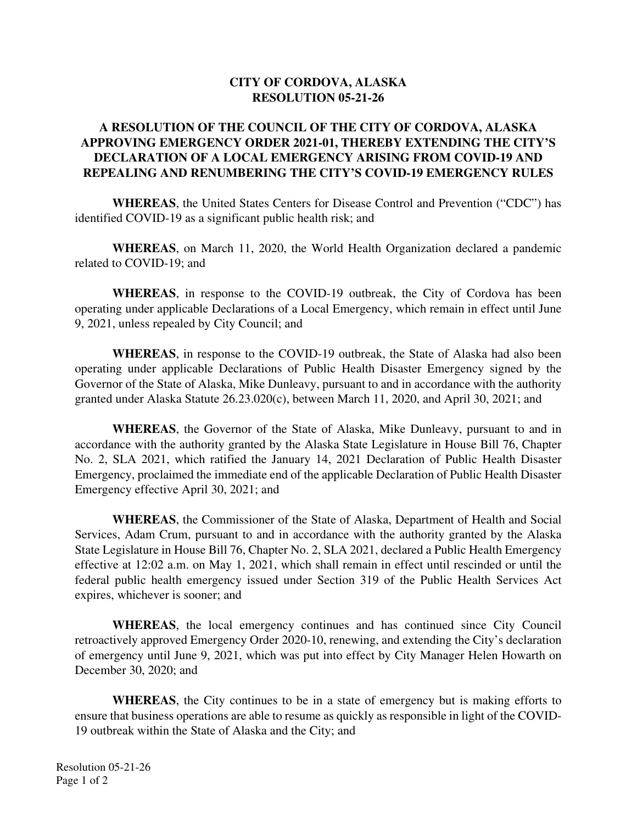## **CITY OF CORDOVA, ALASKA RESOLUTION 05-21-26**

## **A RESOLUTION OF THE COUNCIL OF THE CITY OF CORDOVA, ALASKA APPROVING EMERGENCY ORDER 2021-01, THEREBY EXTENDING THE CITY'S DECLARATION OF A LOCAL EMERGENCY ARISING FROM COVID-19 AND REPEALING AND RENUMBERING THE CITY'S COVID-19 EMERGENCY RULES**

**WHEREAS**, the United States Centers for Disease Control and Prevention ("CDC") has identified COVID-19 as a significant public health risk; and

**WHEREAS**, on March 11, 2020, the World Health Organization declared a pandemic related to COVID-19; and

**WHEREAS**, in response to the COVID-19 outbreak, the City of Cordova has been operating under applicable Declarations of a Local Emergency, which remain in effect until June 9, 2021, unless repealed by City Council; and

**WHEREAS**, in response to the COVID-19 outbreak, the State of Alaska had also been operating under applicable Declarations of Public Health Disaster Emergency signed by the Governor of the State of Alaska, Mike Dunleavy, pursuant to and in accordance with the authority granted under Alaska Statute 26.23.020(c), between March 11, 2020, and April 30, 2021; and

**WHEREAS**, the Governor of the State of Alaska, Mike Dunleavy, pursuant to and in accordance with the authority granted by the Alaska State Legislature in House Bill 76, Chapter No. 2, SLA 2021, which ratified the January 14, 2021 Declaration of Public Health Disaster Emergency, proclaimed the immediate end of the applicable Declaration of Public Health Disaster Emergency effective April 30, 2021; and

**WHEREAS**, the Commissioner of the State of Alaska, Department of Health and Social Services, Adam Crum, pursuant to and in accordance with the authority granted by the Alaska State Legislature in House Bill 76, Chapter No. 2, SLA 2021, declared a Public Health Emergency effective at 12:02 a.m. on May 1, 2021, which shall remain in effect until rescinded or until the federal public health emergency issued under Section 319 of the Public Health Services Act expires, whichever is sooner; and

**WHEREAS**, the local emergency continues and has continued since City Council retroactively approved Emergency Order 2020-10, renewing, and extending the City's declaration of emergency until June 9, 2021, which was put into effect by City Manager Helen Howarth on December 30, 2020; and

**WHEREAS**, the City continues to be in a state of emergency but is making efforts to ensure that business operations are able to resume as quickly as responsible in light of the COVID-19 outbreak within the State of Alaska and the City; and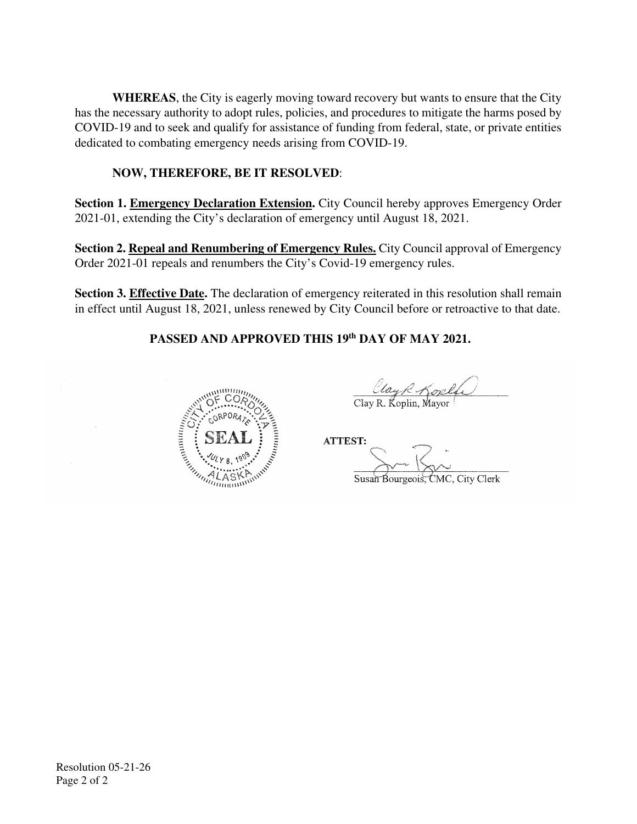**WHEREAS**, the City is eagerly moving toward recovery but wants to ensure that the City has the necessary authority to adopt rules, policies, and procedures to mitigate the harms posed by COVID-19 and to seek and qualify for assistance of funding from federal, state, or private entities dedicated to combating emergency needs arising from COVID-19.

## **NOW, THEREFORE, BE IT RESOLVED**:

**Section 1. Emergency Declaration Extension.** City Council hereby approves Emergency Order 2021-01, extending the City's declaration of emergency until August 18, 2021.

**Section 2. Repeal and Renumbering of Emergency Rules.** City Council approval of Emergency Order 2021-01 repeals and renumbers the City's Covid-19 emergency rules.

**Section 3. Effective Date.** The declaration of emergency reiterated in this resolution shall remain in effect until August 18, 2021, unless renewed by City Council before or retroactive to that date.

## **PASSED AND APPROVED THIS 19th DAY OF MAY 2021.**



 $\mathcal{L}_\text{max} = \frac{1}{2} \sum_{i=1}^{n} \frac{1}{2} \sum_{i=1}^{n} \frac{1}{2} \sum_{i=1}^{n} \frac{1}{2} \sum_{i=1}^{n} \frac{1}{2} \sum_{i=1}^{n} \frac{1}{2} \sum_{i=1}^{n} \frac{1}{2} \sum_{i=1}^{n} \frac{1}{2} \sum_{i=1}^{n} \frac{1}{2} \sum_{i=1}^{n} \frac{1}{2} \sum_{i=1}^{n} \frac{1}{2} \sum_{i=1}^{n} \frac{1}{2} \sum_{i=1}^{n} \frac{1$ Clay R Kople

 $\sum_{i=1}^{N}$  $S_{\rm max}$ Kong Susan Bourgeois, CMC, City Clerk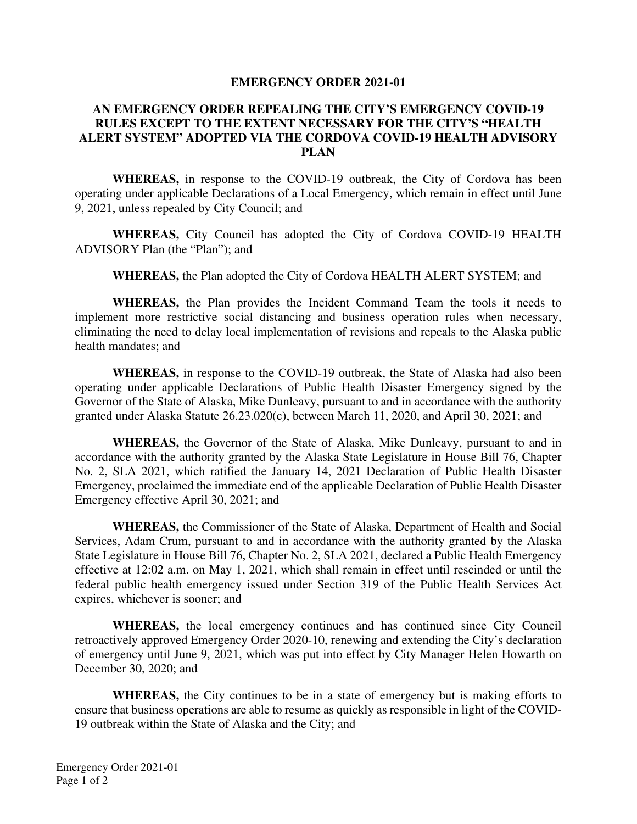#### **EMERGENCY ORDER 2021-01**

## **AN EMERGENCY ORDER REPEALING THE CITY'S EMERGENCY COVID-19 RULES EXCEPT TO THE EXTENT NECESSARY FOR THE CITY'S "HEALTH ALERT SYSTEM" ADOPTED VIA THE CORDOVA COVID-19 HEALTH ADVISORY PLAN**

**WHEREAS,** in response to the COVID-19 outbreak, the City of Cordova has been operating under applicable Declarations of a Local Emergency, which remain in effect until June 9, 2021, unless repealed by City Council; and

**WHEREAS,** City Council has adopted the City of Cordova COVID-19 HEALTH ADVISORY Plan (the "Plan"); and

**WHEREAS,** the Plan adopted the City of Cordova HEALTH ALERT SYSTEM; and

**WHEREAS,** the Plan provides the Incident Command Team the tools it needs to implement more restrictive social distancing and business operation rules when necessary, eliminating the need to delay local implementation of revisions and repeals to the Alaska public health mandates; and

**WHEREAS,** in response to the COVID-19 outbreak, the State of Alaska had also been operating under applicable Declarations of Public Health Disaster Emergency signed by the Governor of the State of Alaska, Mike Dunleavy, pursuant to and in accordance with the authority granted under Alaska Statute 26.23.020(c), between March 11, 2020, and April 30, 2021; and

**WHEREAS,** the Governor of the State of Alaska, Mike Dunleavy, pursuant to and in accordance with the authority granted by the Alaska State Legislature in House Bill 76, Chapter No. 2, SLA 2021, which ratified the January 14, 2021 Declaration of Public Health Disaster Emergency, proclaimed the immediate end of the applicable Declaration of Public Health Disaster Emergency effective April 30, 2021; and

**WHEREAS,** the Commissioner of the State of Alaska, Department of Health and Social Services, Adam Crum, pursuant to and in accordance with the authority granted by the Alaska State Legislature in House Bill 76, Chapter No. 2, SLA 2021, declared a Public Health Emergency effective at 12:02 a.m. on May 1, 2021, which shall remain in effect until rescinded or until the federal public health emergency issued under Section 319 of the Public Health Services Act expires, whichever is sooner; and

**WHEREAS,** the local emergency continues and has continued since City Council retroactively approved Emergency Order 2020-10, renewing and extending the City's declaration of emergency until June 9, 2021, which was put into effect by City Manager Helen Howarth on December 30, 2020; and

**WHEREAS,** the City continues to be in a state of emergency but is making efforts to ensure that business operations are able to resume as quickly as responsible in light of the COVID-19 outbreak within the State of Alaska and the City; and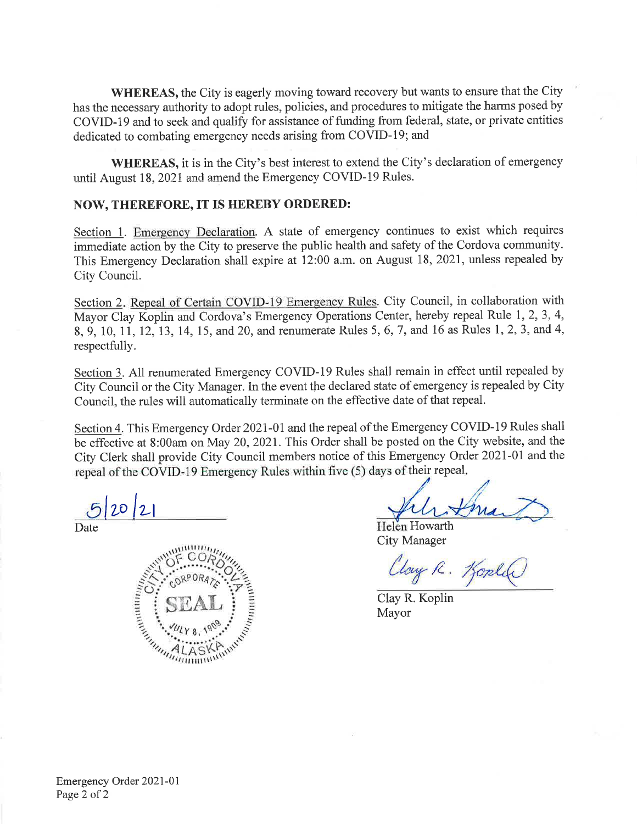**WHEREAS, the City is eagerly moving toward recovery but wants to ensure that the City** has the necessary authority to adopt rules, policies, and procedures to mitigate the harms posed by COVID-19 and to seek and qualify for assistance of funding from federal, state, or private entities dedicated to combating emergency needs arising from COVID-19; and

**WHEREAS**, it is in the City's best interest to extend the City's declaration of emergency until August 18, 2021 and amend the Emergency COVID-19 Rules.

#### NOW, THEREFORE, IT IS HEREBY ORDERED:

Section 1. Emergency Declaration. A state of emergency continues to exist which requires immediate action by the City to preserve the public health and safety of the Cordova community. This Emergency Declaration shall expire at 12:00 a.m. on August 18, 2021, unless repealed by City Council.

Section 2. Repeal of Certain COVID-19 Emergency Rules. City Council, in collaboration with Mayor Clay Koplin and Cordova's Emergency Operations Center, hereby repeal Rule 1, 2, 3, 4, 8, 9, 10, 11, 12, 13, 14, 15, and 20, and renumerate Rules 5, 6, 7, and 16 as Rules 1, 2, 3, and 4, respectfully.

Section 3. All renumerated Emergency COVID-19 Rules shall remain in effect until repealed by City Council or the City Manager. In the event the declared state of emergency is repealed by City Council, the rules will automatically terminate on the effective date of that repeal.

Section 4. This Emergency Order 2021-01 and the repeal of the Emergency COVID-19 Rules shall be effective at 8:00am on May 20, 2021. This Order shall be posted on the City website, and the City Clerk shall provide City Council members notice of this Emergency Order 2021-01 and the repeal of the COVID-19 Emergency Rules within five (5) days of their repeal.

 $2012$ 

Date



Helen Howarth **City Manager** 

Cloy R. Kople

Clay R. Koplin Mayor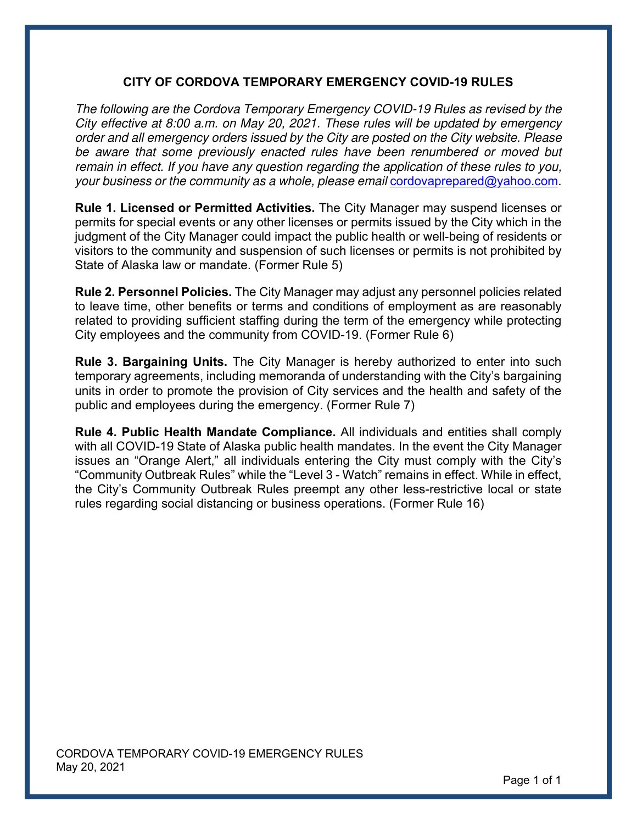## **CITY OF CORDOVA TEMPORARY EMERGENCY COVID-19 RULES**

*The following are the Cordova Temporary Emergency COVID-19 Rules as revised by the City effective at 8:00 a.m. on May 20, 2021. These rules will be updated by emergency order and all emergency orders issued by the City are posted on the City website. Please be aware that some previously enacted rules have been renumbered or moved but remain in effect. If you have any question regarding the application of these rules to you, your business or the community as a whole, please email* cordovaprepared@yahoo.com.

**Rule 1. Licensed or Permitted Activities.** The City Manager may suspend licenses or permits for special events or any other licenses or permits issued by the City which in the judgment of the City Manager could impact the public health or well-being of residents or visitors to the community and suspension of such licenses or permits is not prohibited by State of Alaska law or mandate. (Former Rule 5)

**Rule 2. Personnel Policies.** The City Manager may adjust any personnel policies related to leave time, other benefits or terms and conditions of employment as are reasonably related to providing sufficient staffing during the term of the emergency while protecting City employees and the community from COVID-19. (Former Rule 6)

**Rule 3. Bargaining Units.** The City Manager is hereby authorized to enter into such temporary agreements, including memoranda of understanding with the City's bargaining units in order to promote the provision of City services and the health and safety of the public and employees during the emergency. (Former Rule 7)

**Rule 4. Public Health Mandate Compliance.** All individuals and entities shall comply with all COVID-19 State of Alaska public health mandates. In the event the City Manager issues an "Orange Alert," all individuals entering the City must comply with the City's "Community Outbreak Rules" while the "Level 3 - Watch" remains in effect. While in effect, the City's Community Outbreak Rules preempt any other less-restrictive local or state rules regarding social distancing or business operations. (Former Rule 16)